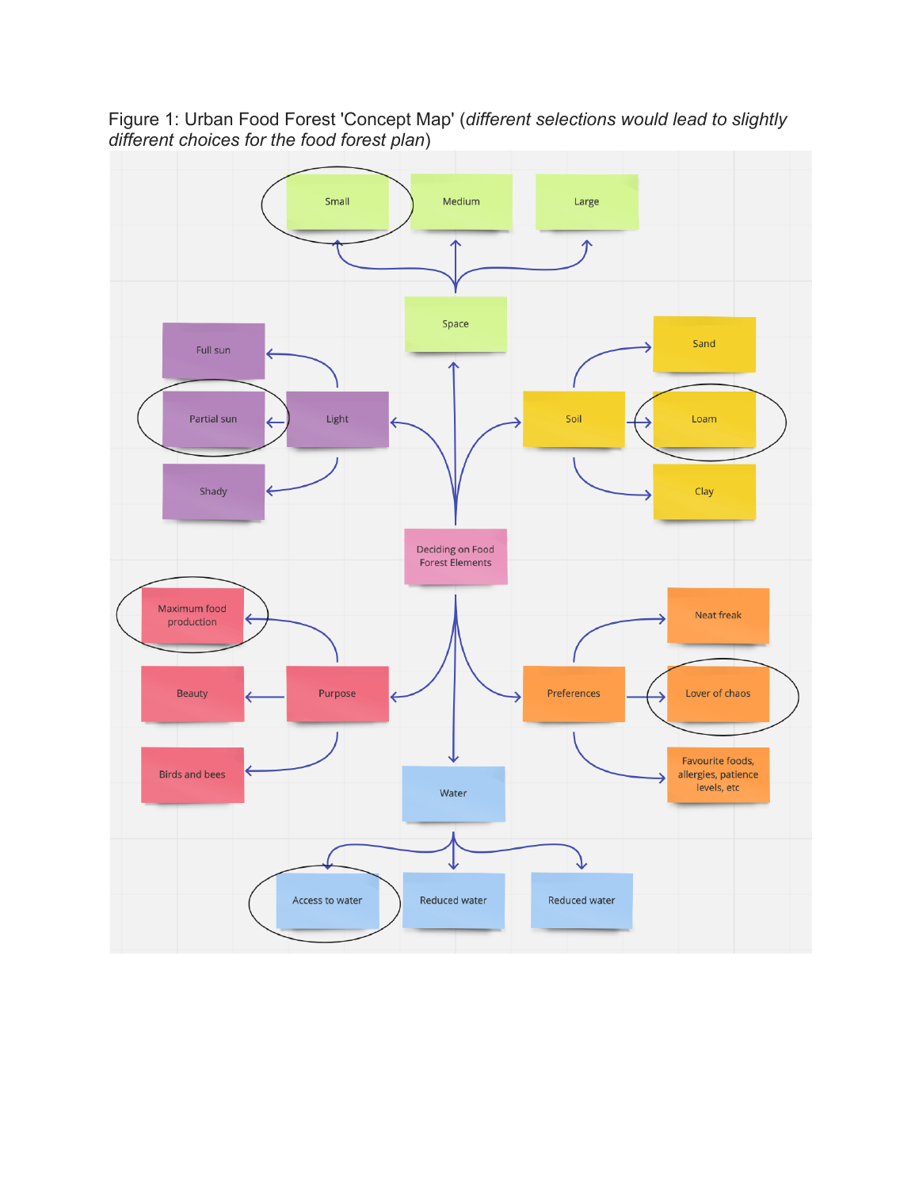

Figure 1: Urban Food Forest 'Concept Map' (*different selections would lead to slightly different choices for the food forest plan*)